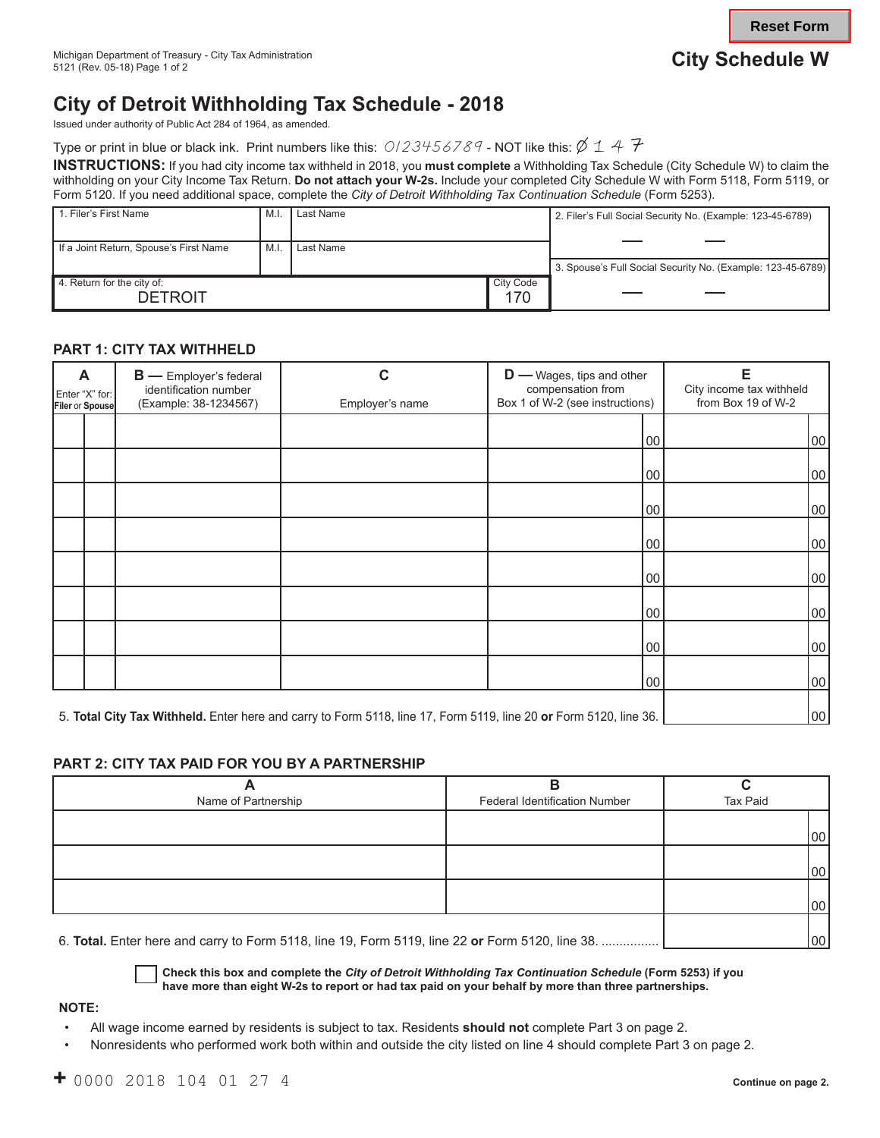# **City of Detroit Withholding Tax Schedule - 2018**

Issued under authority of Public Act 284 of 1964, as amended.

Type or print in blue or black ink. Print numbers like this:  $0/23456789$  - NOT like this:  $\cancel{\phi}$  1 4  $\frac{n}{f}$ 

**INSTRUCTIONS:** If you had city income tax withheld in 2018, you **must complete** a Withholding Tax Schedule (City Schedule W) to claim the withholding on your City Income Tax Return. **Do not attach your W-2s.** Include your completed City Schedule W with Form 5118, Form 5119, or Form 5120. If you need additional space, complete the *City of Detroit Withholding Tax Continuation Schedule* (Form 5253).

| 1. Filer's First Name                        | M.I | Last Name |                  | 2. Filer's Full Social Security No. (Example: 123-45-6789)  |
|----------------------------------------------|-----|-----------|------------------|-------------------------------------------------------------|
| If a Joint Return, Spouse's First Name       | M.l | Last Name |                  |                                                             |
|                                              |     |           |                  | 3. Spouse's Full Social Security No. (Example: 123-45-6789) |
| 4. Return for the city of:<br><b>DETROIT</b> |     |           | City Code<br>170 |                                                             |

## **PART 1: CITY TAX WITHHELD**

| A<br><b>B</b> - Employer's federal<br>identification number<br>Enter "X" for:<br>(Example: 38-1234567)<br>Filer or Spouse |                                                                                                                   | С<br>Employer's name | $D$ — Wages, tips and other<br>compensation from<br>Box 1 of W-2 (see instructions) | Е<br>City income tax withheld<br>from Box 19 of W-2 |  |
|---------------------------------------------------------------------------------------------------------------------------|-------------------------------------------------------------------------------------------------------------------|----------------------|-------------------------------------------------------------------------------------|-----------------------------------------------------|--|
|                                                                                                                           |                                                                                                                   |                      | 100                                                                                 | 00                                                  |  |
|                                                                                                                           |                                                                                                                   |                      | 100                                                                                 | 00                                                  |  |
|                                                                                                                           |                                                                                                                   |                      | 00                                                                                  | 00                                                  |  |
|                                                                                                                           |                                                                                                                   |                      | 00                                                                                  | 00                                                  |  |
|                                                                                                                           |                                                                                                                   |                      | 00                                                                                  | 00                                                  |  |
|                                                                                                                           |                                                                                                                   |                      | 100                                                                                 | 00                                                  |  |
|                                                                                                                           |                                                                                                                   |                      | 00                                                                                  | 00                                                  |  |
|                                                                                                                           |                                                                                                                   |                      | 00                                                                                  | 00                                                  |  |
|                                                                                                                           | 5. Total City Tax Withheld. Enter here and carry to Form 5118, line 17, Form 5119, line 20 or Form 5120, line 36. | 00                   |                                                                                     |                                                     |  |

### **PART 2: CITY TAX PAID FOR YOU BY A PARTNERSHIP**

|                     | o                             |                 |
|---------------------|-------------------------------|-----------------|
| Name of Partnership | Federal Identification Number | <b>Tax Paid</b> |
|                     |                               |                 |
|                     |                               | 00              |
|                     |                               |                 |
|                     |                               | 00              |
|                     |                               |                 |
|                     |                               | 00              |
|                     |                               |                 |

6. **Total.** Enter here and carry to Form 5118, line 19, Form 5119, line 22 **or** Form 5120, line 38. ................ 00

**Check this box and complete the** *City of Detroit Withholding Tax Continuation Schedule* **(Form 5253) if you have more than eight W-2s to report or had tax paid on your behalf by more than three partnerships.**

#### **NOTE:**

- All wage income earned by residents is subject to tax. Residents **should not** complete Part 3 on page 2.
- Nonresidents who performed work both within and outside the city listed on line 4 should complete Part 3 on page 2.